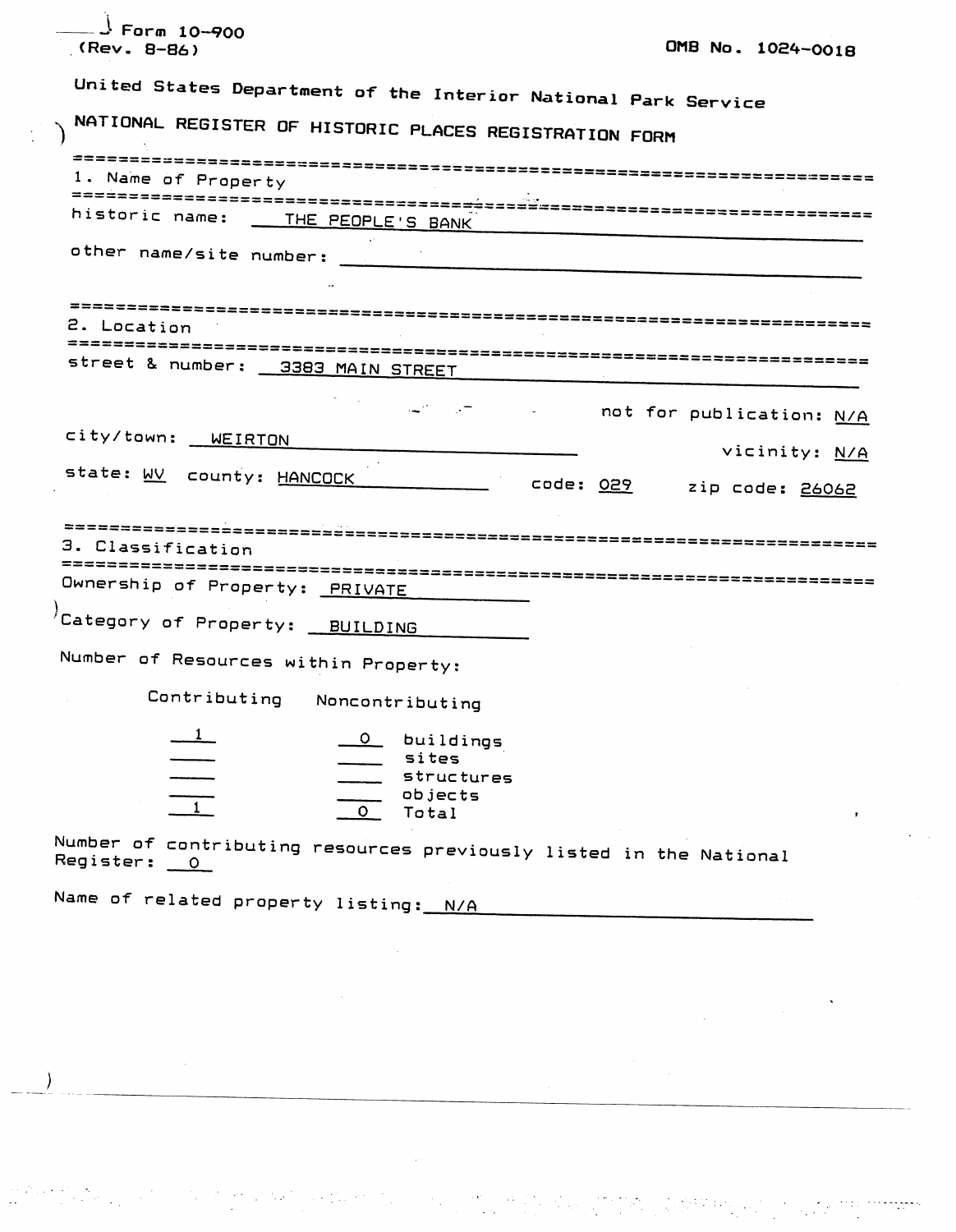| Form 10-900<br>OMB No. 1024-0018<br>(Rev. 8-86)                                                                          |  |  |  |  |  |  |
|--------------------------------------------------------------------------------------------------------------------------|--|--|--|--|--|--|
| United States Department of the Interior National Park Service                                                           |  |  |  |  |  |  |
| NATIONAL REGISTER OF HISTORIC PLACES REGISTRATION FORM                                                                   |  |  |  |  |  |  |
| 1. Name of Property                                                                                                      |  |  |  |  |  |  |
| historic name: THE PEOPLE'S BANK                                                                                         |  |  |  |  |  |  |
| other name/site number:                                                                                                  |  |  |  |  |  |  |
|                                                                                                                          |  |  |  |  |  |  |
| 2. Location                                                                                                              |  |  |  |  |  |  |
| street & number: 3383 MAIN STREET                                                                                        |  |  |  |  |  |  |
| - The not for publication: N/A                                                                                           |  |  |  |  |  |  |
| city/town: <u>WEIRTON</u><br>vicinity: N/A                                                                               |  |  |  |  |  |  |
| state: WV county: HANCOCK<br>code: 029 zip code: 26062                                                                   |  |  |  |  |  |  |
| 3. Classification                                                                                                        |  |  |  |  |  |  |
| Ownership of Property: PRIVATE                                                                                           |  |  |  |  |  |  |
| /Category of Property: <u>BUILDING</u>                                                                                   |  |  |  |  |  |  |
| Number of Resources within Property:                                                                                     |  |  |  |  |  |  |
| Contributing Noncontributing                                                                                             |  |  |  |  |  |  |
| $\mathbf{1}$<br>$\circ$<br>buildings<br>sites<br><b>structures</b><br>$\overline{1}$<br>objects<br>$\mathbf{O}$<br>Total |  |  |  |  |  |  |
| Number of contributing resources previously listed in the National<br>Register: 0                                        |  |  |  |  |  |  |
| Name of related property listing: N/A                                                                                    |  |  |  |  |  |  |
|                                                                                                                          |  |  |  |  |  |  |
|                                                                                                                          |  |  |  |  |  |  |
|                                                                                                                          |  |  |  |  |  |  |
|                                                                                                                          |  |  |  |  |  |  |
|                                                                                                                          |  |  |  |  |  |  |

 $\sigma_{\rm{eff}}$  and

 $\label{eq:2.1} \frac{1}{\sqrt{2\pi}}\int_{0}^{\infty}\frac{d\mu}{\mu}\left(\frac{d\mu}{\mu}\right)^{\mu}d\mu\,d\mu\,.$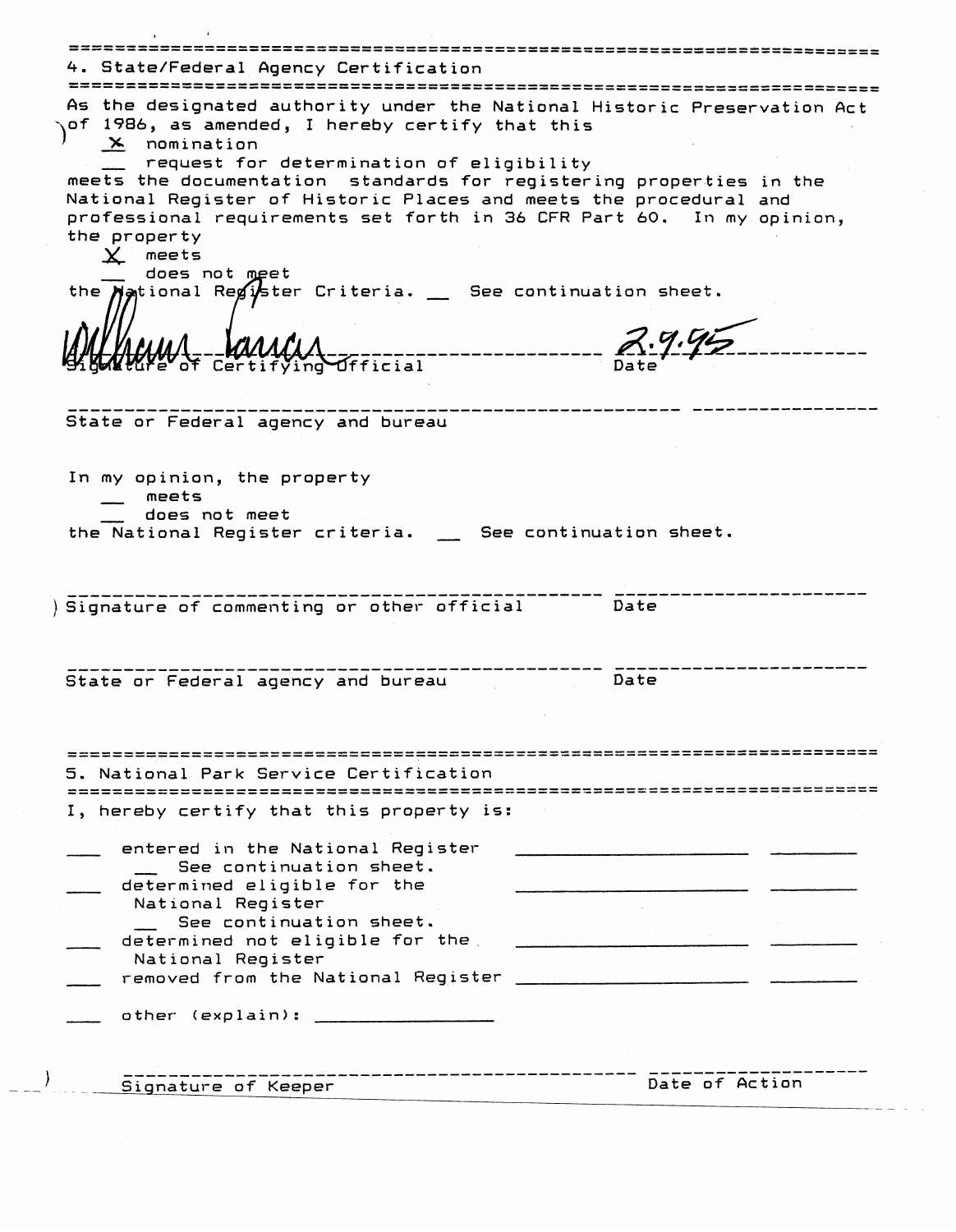4. State/Federal Agency Certification As the designated authority under the National Historic Preservation Act of 1986, as amended, I hereby certify that this  $\times$  nomination request for determination of eligibility meets the documentation standards for registering properties in the National Register of Historic Places and meets the procedural and professional requirements set forth in 36 CFR Part 60. In my opinion, the property  $X$  meets does not meet the National Register Criteria.  $\qquad \qquad$  See continuation sheet. \_\_\_\_\_\_\_\_\_\_\_\_ Certifying Official State or Federal agency and bureau In my opinion, the property \_\_ meets does not meet the National Register criteria. \_\_ See continuation sheet. ) Signature of commenting or other official Date Date 5. National Park Service Certification I, hereby certify that this property is: entered in the National Register See continuation sheet. determined eligible for the National Register See continuation sheet. determined not eligible for the National Register removed from the National Register \_\_\_\_\_\_ other (explain): Date of Action Signature of Keeper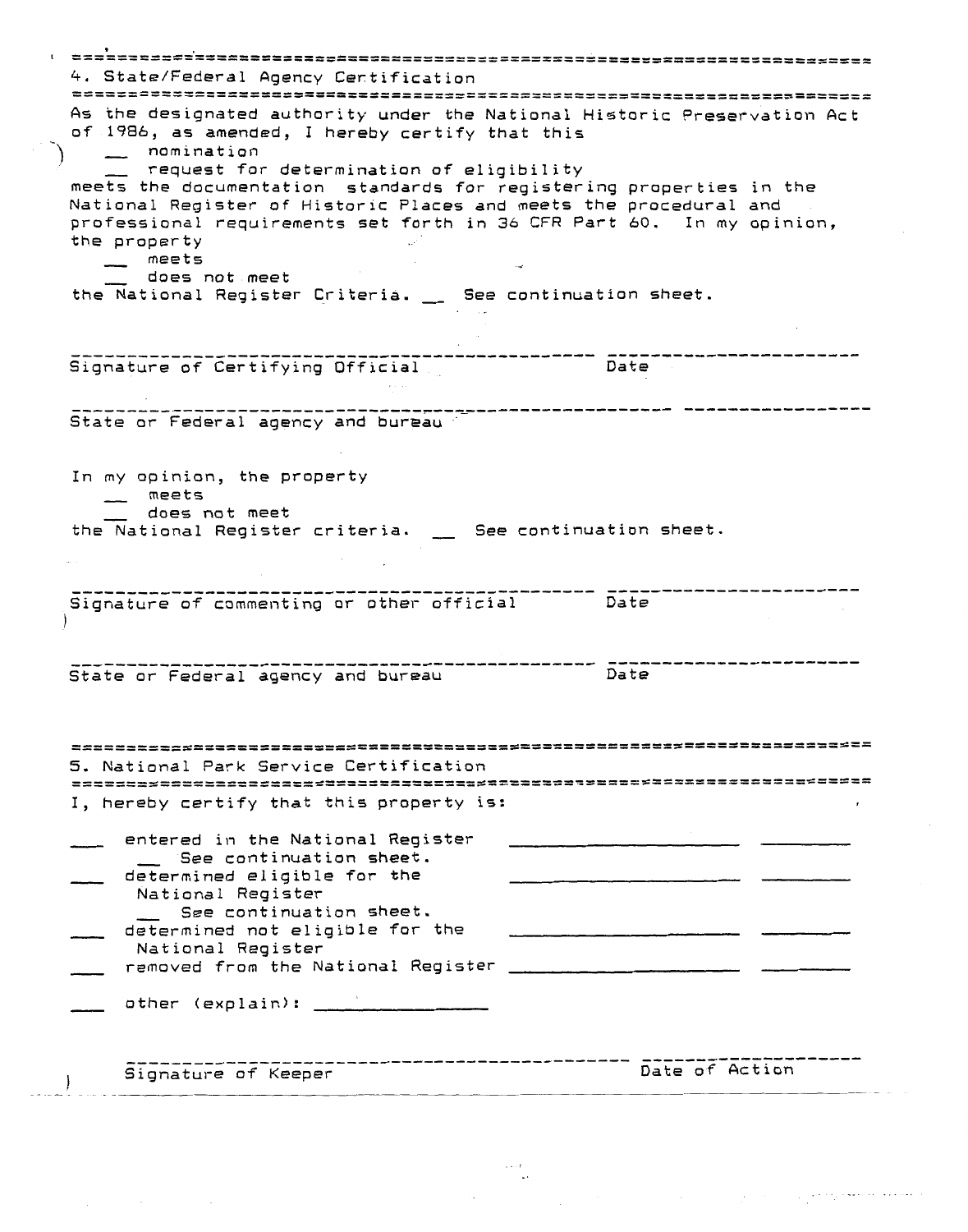| =================                                                                                                                          |                |  |  |  |  |  |
|--------------------------------------------------------------------------------------------------------------------------------------------|----------------|--|--|--|--|--|
| 4. State/Federal Agency Certification                                                                                                      |                |  |  |  |  |  |
|                                                                                                                                            |                |  |  |  |  |  |
| As the designated authority under the National Historic Preservation Act<br>of 1986, as amended, I hereby certify that this<br>nomination  |                |  |  |  |  |  |
| request for determination of eligibility<br>meets the documentation standards for registering properties in the                            |                |  |  |  |  |  |
| National Register of Historic Places and meets the procedural and<br>professional requirements set forth in 36 CFR Part 60. In my opinion, |                |  |  |  |  |  |
| the property<br>meets                                                                                                                      |                |  |  |  |  |  |
| does not meet<br>the National Register Criteria. _ See continuation sheet.                                                                 |                |  |  |  |  |  |
|                                                                                                                                            |                |  |  |  |  |  |
|                                                                                                                                            |                |  |  |  |  |  |
| Signature of Certifying Official                                                                                                           | Date           |  |  |  |  |  |
|                                                                                                                                            |                |  |  |  |  |  |
| State or Federal agency and bureau                                                                                                         |                |  |  |  |  |  |
|                                                                                                                                            |                |  |  |  |  |  |
| In my opinion, the property<br>meets                                                                                                       |                |  |  |  |  |  |
| does not meet<br>the National Register criteria. 5ee continuation sheet.                                                                   |                |  |  |  |  |  |
|                                                                                                                                            |                |  |  |  |  |  |
|                                                                                                                                            |                |  |  |  |  |  |
| Signature of commenting or other official                                                                                                  | Date           |  |  |  |  |  |
| State or Federal agency and bureau                                                                                                         | Date           |  |  |  |  |  |
|                                                                                                                                            |                |  |  |  |  |  |
|                                                                                                                                            |                |  |  |  |  |  |
| 5. National Park Service Certification                                                                                                     |                |  |  |  |  |  |
| I, hereby certify that this property is:                                                                                                   |                |  |  |  |  |  |
|                                                                                                                                            |                |  |  |  |  |  |
| entered in the National Register<br>See continuation sheet.                                                                                |                |  |  |  |  |  |
| determined eligible for the<br>National Register                                                                                           |                |  |  |  |  |  |
| See continuation sheet.                                                                                                                    |                |  |  |  |  |  |
| determined not eligible for the<br>National Register                                                                                       |                |  |  |  |  |  |
| removed from the National Register                                                                                                         |                |  |  |  |  |  |
| other (explain): _____                                                                                                                     |                |  |  |  |  |  |
|                                                                                                                                            |                |  |  |  |  |  |
| Signature of Keeper                                                                                                                        | Date of Action |  |  |  |  |  |
|                                                                                                                                            |                |  |  |  |  |  |

 $\label{eq:1} \begin{split} \hat{u} \mapsto \hat{U} \end{split}$   $\label{eq:1} \begin{split} \hat{u} \mapsto \hat{U} \end{split}$ 

 $\hat{\phi}$ 

 $\omega_{\rm c} = 1$ 

 $\cdots$ 

 $\ddotsc$ 

 $\mathcal{A}=\mathcal{A}=\mathcal{A}$  , and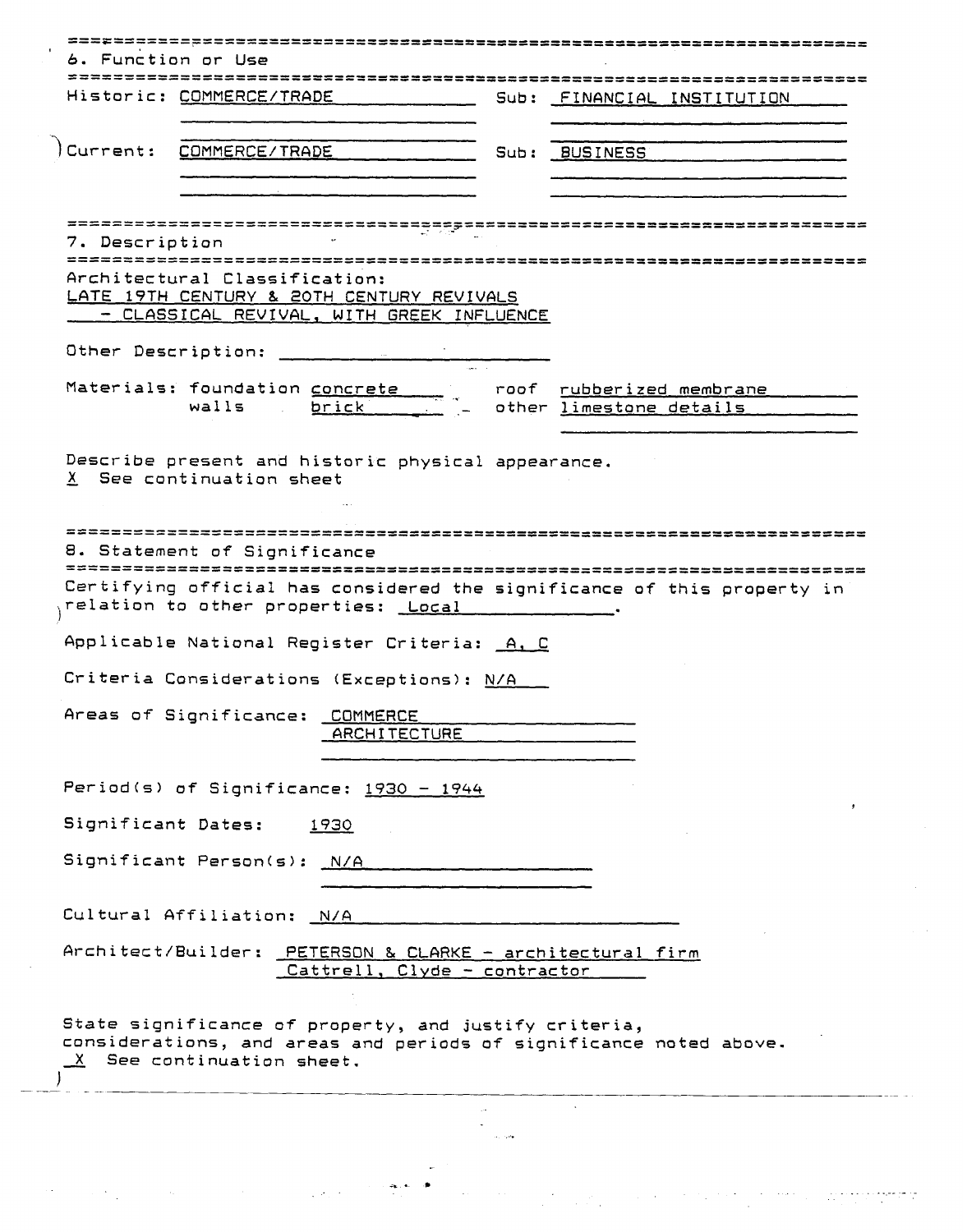|                | Historic: COMMERCE/TRADE                                                                                                                                                                                                       |                                                                                           | Sub: EINANCIAL INSTITUTION                                                              |  |
|----------------|--------------------------------------------------------------------------------------------------------------------------------------------------------------------------------------------------------------------------------|-------------------------------------------------------------------------------------------|-----------------------------------------------------------------------------------------|--|
|                |                                                                                                                                                                                                                                |                                                                                           |                                                                                         |  |
| Current:       | COMMERCE/TRADE                                                                                                                                                                                                                 |                                                                                           | Sub: BUSINESS                                                                           |  |
| 7. Description | ========================                                                                                                                                                                                                       |                                                                                           | :===========================<br>================================                        |  |
|                | Architectural Classification:                                                                                                                                                                                                  | LATE 19TH CENTURY & 20TH CENTURY REVIVALS<br>- CLASSICAL REVIVAL, WITH GREEK INFLUENCE    |                                                                                         |  |
|                | Other Description: The contract of the contract of the contract of the contract of the contract of the contract of the contract of the contract of the contract of the contract of the contract of the contract of the contrac |                                                                                           |                                                                                         |  |
|                | walls                                                                                                                                                                                                                          | brick                                                                                     | Materials: foundation concrete  . roof rubberized membrane<br>- other limestone details |  |
|                | ==================================                                                                                                                                                                                             |                                                                                           |                                                                                         |  |
|                | 8. Statement of Significance<br>===========================                                                                                                                                                                    |                                                                                           | Certifying official has considered the significance of this property in                 |  |
|                |                                                                                                                                                                                                                                | relation to other properties: Local                                                       |                                                                                         |  |
|                |                                                                                                                                                                                                                                | Applicable National Register Criteria: A, C                                               |                                                                                         |  |
|                |                                                                                                                                                                                                                                | Criteria Considerations (Exceptions): N/A                                                 |                                                                                         |  |
|                | Areas of Significance: COMMERCE                                                                                                                                                                                                | <b>ARCHITECTURE</b>                                                                       |                                                                                         |  |
|                |                                                                                                                                                                                                                                | Period(s) of Significance: $1930 - 1944$                                                  |                                                                                         |  |
|                | Significant Dates:                                                                                                                                                                                                             | <u> 1930 </u>                                                                             |                                                                                         |  |
|                | Significant Person(s): N/A                                                                                                                                                                                                     |                                                                                           |                                                                                         |  |
|                | Cultural Affiliation: N/A                                                                                                                                                                                                      |                                                                                           |                                                                                         |  |
|                |                                                                                                                                                                                                                                | Architect/Builder: PETERSON & CLARKE - architectural firm<br>Cattrell, Clyde - contractor |                                                                                         |  |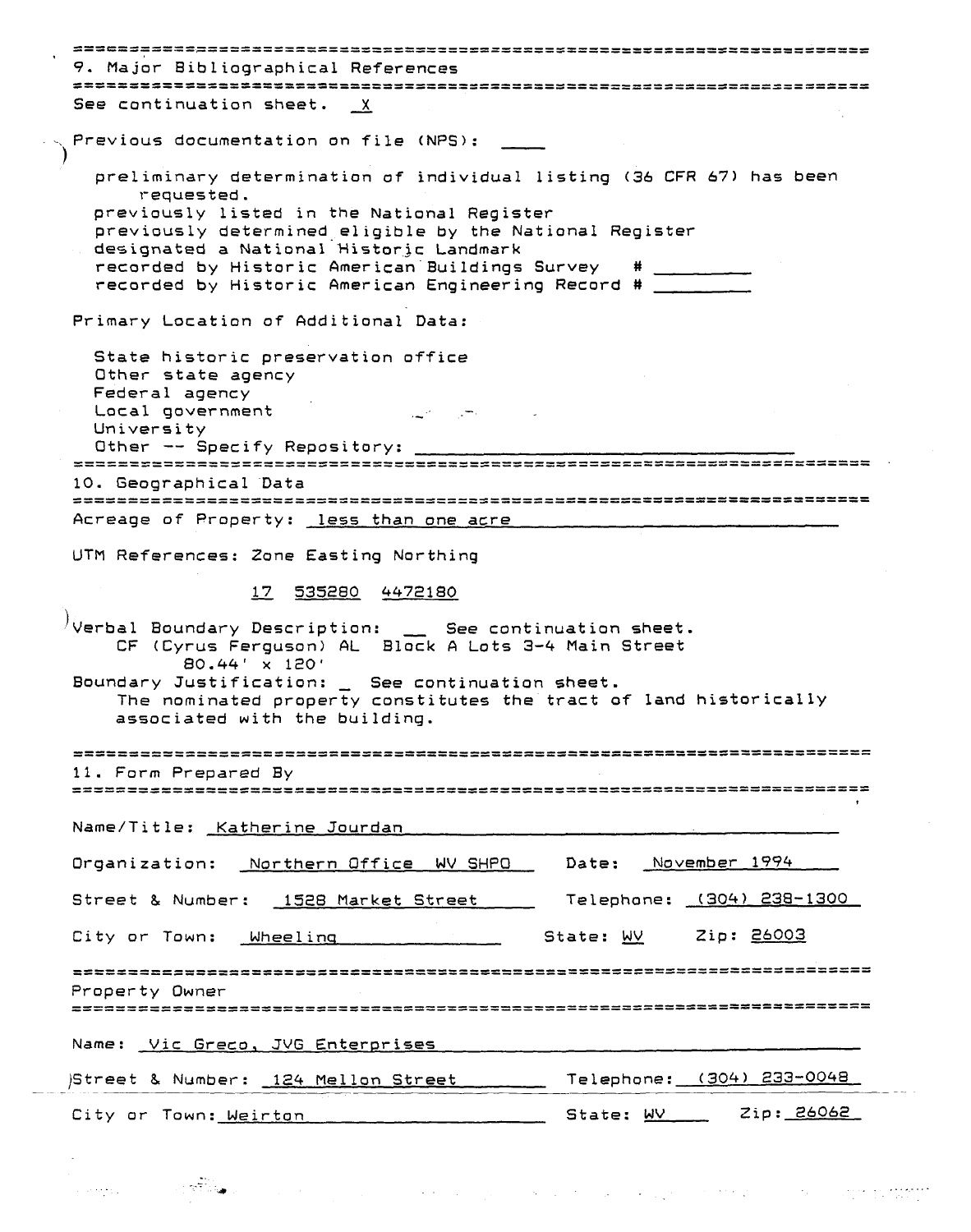| ======<br>9. Major Bibliographical References<br>==================================                                                                                                                                                                                                                                   |                           |  |  |  |  |  |
|-----------------------------------------------------------------------------------------------------------------------------------------------------------------------------------------------------------------------------------------------------------------------------------------------------------------------|---------------------------|--|--|--|--|--|
| See continuation sheet. X                                                                                                                                                                                                                                                                                             |                           |  |  |  |  |  |
| $\sqrt{P}$ Previous documentation on file (NPS): $\frac{1}{\sqrt{P}}$                                                                                                                                                                                                                                                 |                           |  |  |  |  |  |
| preliminary determination of individual listing (36 CFR 67) has been<br>requested.                                                                                                                                                                                                                                    |                           |  |  |  |  |  |
| previously listed in the National Register<br>previously determined eligible by the National Register                                                                                                                                                                                                                 |                           |  |  |  |  |  |
| designated a National Historic Landmark<br>recorded by Historic American Buildings Survey # _______<br>recorded by Historic American Engineering Record #                                                                                                                                                             |                           |  |  |  |  |  |
| Primary Location of Additional Data:                                                                                                                                                                                                                                                                                  |                           |  |  |  |  |  |
| State historic preservation office<br>Other state agency<br>Federal agency<br>Local government<br>University<br>Other -- Specify Repository:                                                                                                                                                                          |                           |  |  |  |  |  |
| 10. Geographical Data                                                                                                                                                                                                                                                                                                 |                           |  |  |  |  |  |
| Acreage of Property: less than one acre                                                                                                                                                                                                                                                                               |                           |  |  |  |  |  |
| UTM References: Zone Easting Northing                                                                                                                                                                                                                                                                                 |                           |  |  |  |  |  |
| 17 535280 4472180                                                                                                                                                                                                                                                                                                     |                           |  |  |  |  |  |
| $^{\prime}$ Verbal Boundary Description: $\quad \_$ See continuation sheet.<br>CF (Cyrus Ferguson) AL Block A Lots 3-4 Main Street<br>$80.44' \times 120'$<br>Boundary Justification: _ See continuation sheet.<br>The nominated property constitutes the tract of land historically<br>associated with the building. |                           |  |  |  |  |  |
|                                                                                                                                                                                                                                                                                                                       |                           |  |  |  |  |  |
| 11. Form Prepared By                                                                                                                                                                                                                                                                                                  |                           |  |  |  |  |  |
| Name/Title: Katherine Jourdan<br>100 - Antonio Alemania (1991), Antonio Alemania (1991)                                                                                                                                                                                                                               |                           |  |  |  |  |  |
| Organization: Northern Office WV SHPO Date: November 1994                                                                                                                                                                                                                                                             |                           |  |  |  |  |  |
| Street & Number: 1528 Market Street ____                                                                                                                                                                                                                                                                              | Telephone: (304) 238-1300 |  |  |  |  |  |
| City or Town: Wheeling<br>and the control of the control of                                                                                                                                                                                                                                                           | State: $WV$ Zip: 26003    |  |  |  |  |  |
| Property Owner                                                                                                                                                                                                                                                                                                        |                           |  |  |  |  |  |
| Name: Vic Greco, JVG Enterprises                                                                                                                                                                                                                                                                                      |                           |  |  |  |  |  |
| Street & Number: 124 Mellon Street                                                                                                                                                                                                                                                                                    | Telephone: (304) 233-0048 |  |  |  |  |  |
|                                                                                                                                                                                                                                                                                                                       |                           |  |  |  |  |  |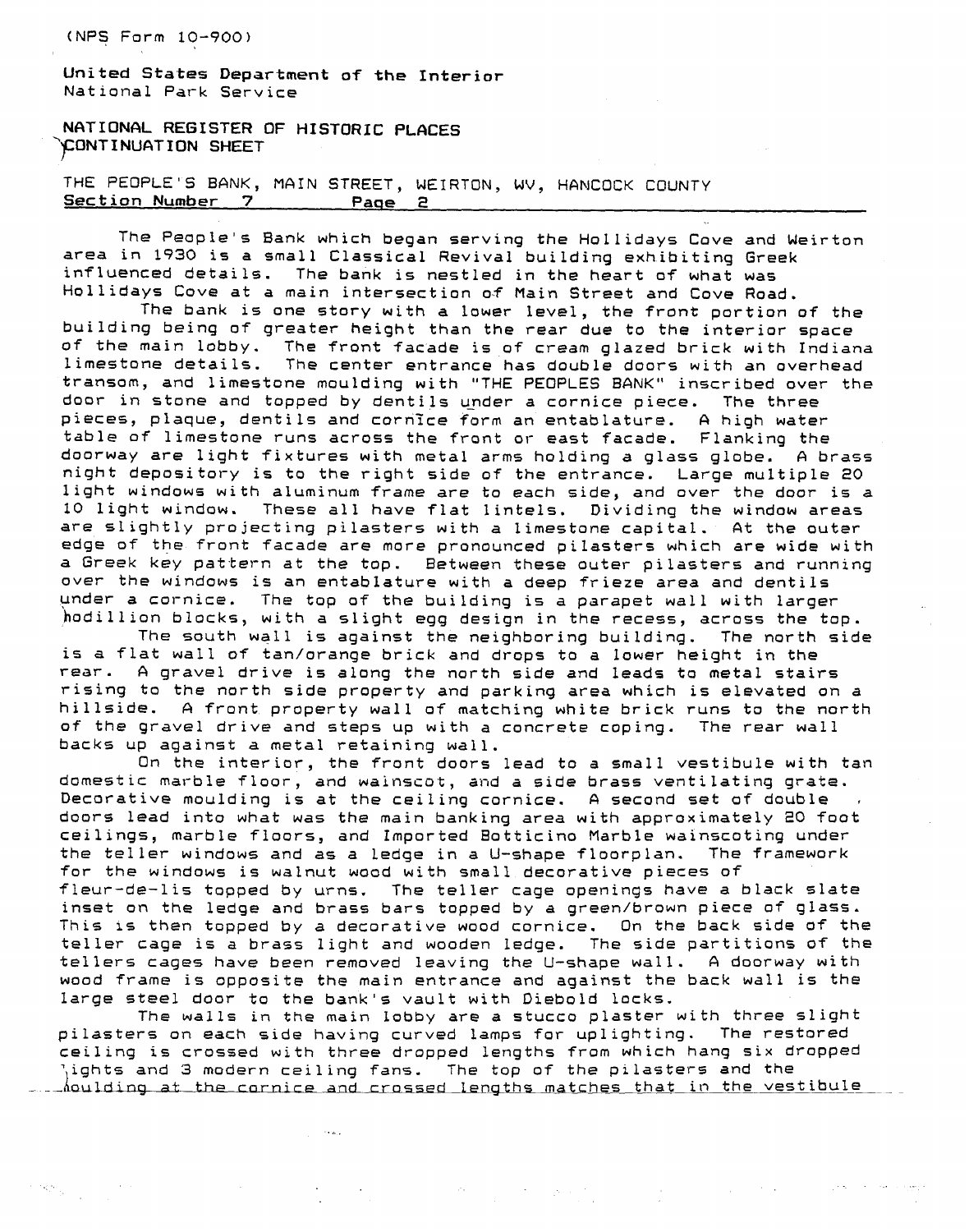$\label{eq:1} \mathcal{O}(\mathcal{O}_{\mathcal{O}_{\mathcal{O}_{\mathcal{O}_{\mathcal{O}_{\mathcal{O}_{\mathcal{O}_{\mathcal{O}}}}}}}})^{-1}$ 

**United States Department** of the Interior National Park Service

**NATIONAL REGISTER OF HISTORIC PLACES 'FONTINUATION SHEET** 

THE PEOPLE'S BANK, RAIN STREET, **WETRTON,** WV, HANCOCK COUNTY Section Number 7 **Paae** 2

The People's Bank which began serving the Hollidays Cove and Weirton area in 1930 is a small Classical Revival building exhibiting Greek influenced details. The bank is nestled in the heart of what was Hollidays Cove at a main intersection of Main Street and Cove Road.

The bank is one story with a lower level, the front portion of the building being of greater height than the rear due to the interior space of the main lobby. The front facade is of cream glazed brick with Indiana limestone details. The center entrance has double doors with an overhead transom, and limestone moulding with "THE PEOPLES BANK" inscribed over the door in stone and topped by dentils under a cornice piece. The three pieces, plaque, dentils and cornice form an entablature. A high water table of limestone runs across the front or east facade. Flanking the doorway are light fixtures with metal arms holding a glass globe. **A** brass night depository is to the right side of the entrance. Large multiple 20 light windows with aluminum frame are to each side, and over the door is a 10 light window. These all have flat lintels. Dividing the window areas are slightly projecting pilasters with a limestone capital. At the outer edge of the front facade are more pronounced pilasters which are wide with a Greek key pattern at the top. Between these outer pilasters and running over the windows is an entablature with a deep frieze area and dentils under a cornice. The top of the building is a parapet wall with larger hodillion blocks, with a slight egg design in the recess, across the top.

The south wall is against the neighboring building. The north side is a flat wall of tan/orange brick and drops to a lower height in the rear. **A** gravel drive is along the north side and leads to metal stairs rising to the north side property and parking area which is elevated on a hillside. **A** front property wall of matching white brick runs to the north of the gravel drive and steps up with a concrete coping. The rear wall backs up against a metal retaining wall.

On the interior, the front doors lead to a small vestibule with tan domestic marble floor, and wainscot, and a side brass ventilating grate. Decorative moulding is at the ceiling cornice. A second set of double doors lead into what was the main banking area with approximately **20** foot ceilings, marble floors, and Imported Botticino Marble wainscoting under the teller windows and as a ledge in a U-shape floorplan. The framework for the windows is walnut wood with small decorative pieces of fleur-de-lis topped **by** urns. The teller cage openings have a black slate inset on the ledge and brass bars topped by a green/brown piece of glass. This **1s** then topped by a decorative wood cornice. On the back side of the teller cage is a brass light and wooden ledge. The side partitions of the tellers cages have been removed leaving the U-shape wall. **A** doorway with wood frame is opposite the main entrance and against the back wall is the large steel door to the bank's vault with Diebold locks.

The walls in the main lobby are a stucco plaster with three slight pilasters on each side having curved lamps for uplighting. The restored ceiling is crossed with three dropped lengths from which hang six dropped<br>\ights and 3 modern ceiling fans. The top of the pilasters and the  $\ldots$  houlding at the cornice and crossed lengths matches that in the vestibule  $\ldots$ 

 $\label{eq:2.1} \frac{\partial \mathbf{u}}{\partial t} = \frac{1}{2} \left[ \frac{\partial \mathbf{u}}{\partial t} + \frac{\partial \mathbf{u}}{\partial t} \right] \mathbf{u} + \frac{\partial \mathbf{u}}{\partial t} + \frac{\partial \mathbf{u}}{\partial t} \mathbf{u} + \frac{\partial \mathbf{u}}{\partial t} \mathbf{u} + \frac{\partial \mathbf{u}}{\partial t} \mathbf{u} + \frac{\partial \mathbf{u}}{\partial t} \mathbf{u} + \frac{\partial \mathbf{u}}{\partial t} \mathbf{u} + \frac{\partial \mathbf{u}}{\partial t} \mathbf{u} + \frac{\partial \math$ 

 $\sim 10^{-11}$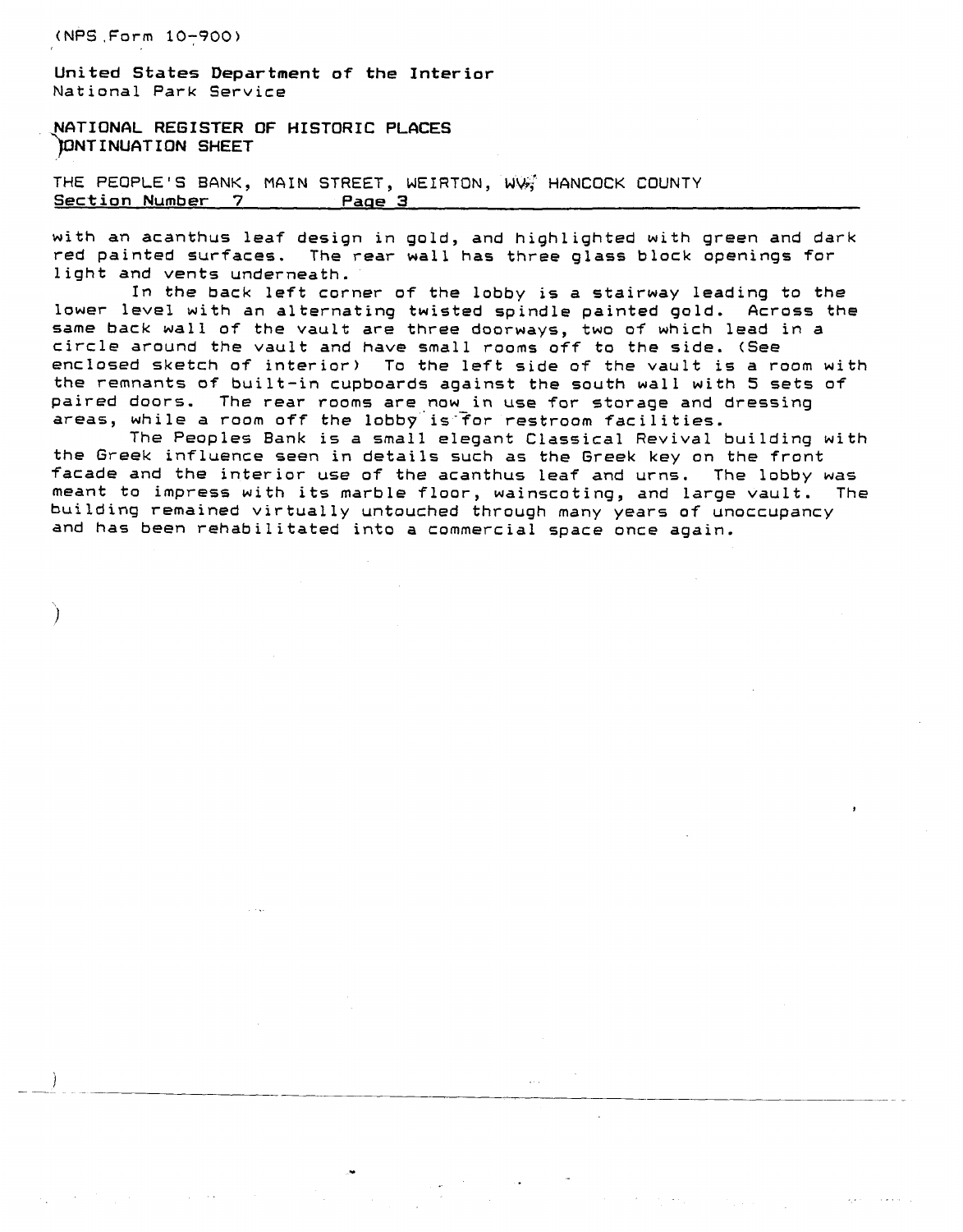**United States Department of the Interior**  National Park Service

**NATIONAL REGISTER OF HISTORIC PLQCES )RNT INUATION SHEET** 

THE PEOPLE'S BANK, MAIN STREET, WEIRTON, WWW HANCOCK COUNTY **Section Number 7 Paae 3** 

with an acanthus leaf design in gold, and highlighted with green and dark red painted surfaces. The rear wall has three glass block openings for light and vents underneath.

In the back left corner of the lobby is a stairway leading to the lower level with an alternating twisted spindle painted gold. Across the same back wall of the vault are three doorways, two of which lead in a circle around the vault and have small rooms off to the side. (See enclosed sketch of interior) To the left side of the vault is a room with the remnants of built-in cupboards against the south wall with **5** sets of paired doors. The rear rooms are now in use for storage and dressing areas, while a room off the lobby is for restroom facilities.

The Peoples Bank is a small elegant Classical Revival building with the Greek influence seen in details such as the Greek key on the front facade and the interior use of the acanthus leaf and urns. The lobby **was**  meant to impress with its marble floor, wainscoting, and large vault. The building remained virtually untouched through many years of unoccupancy and has been rehabilitated into a commercial space once again.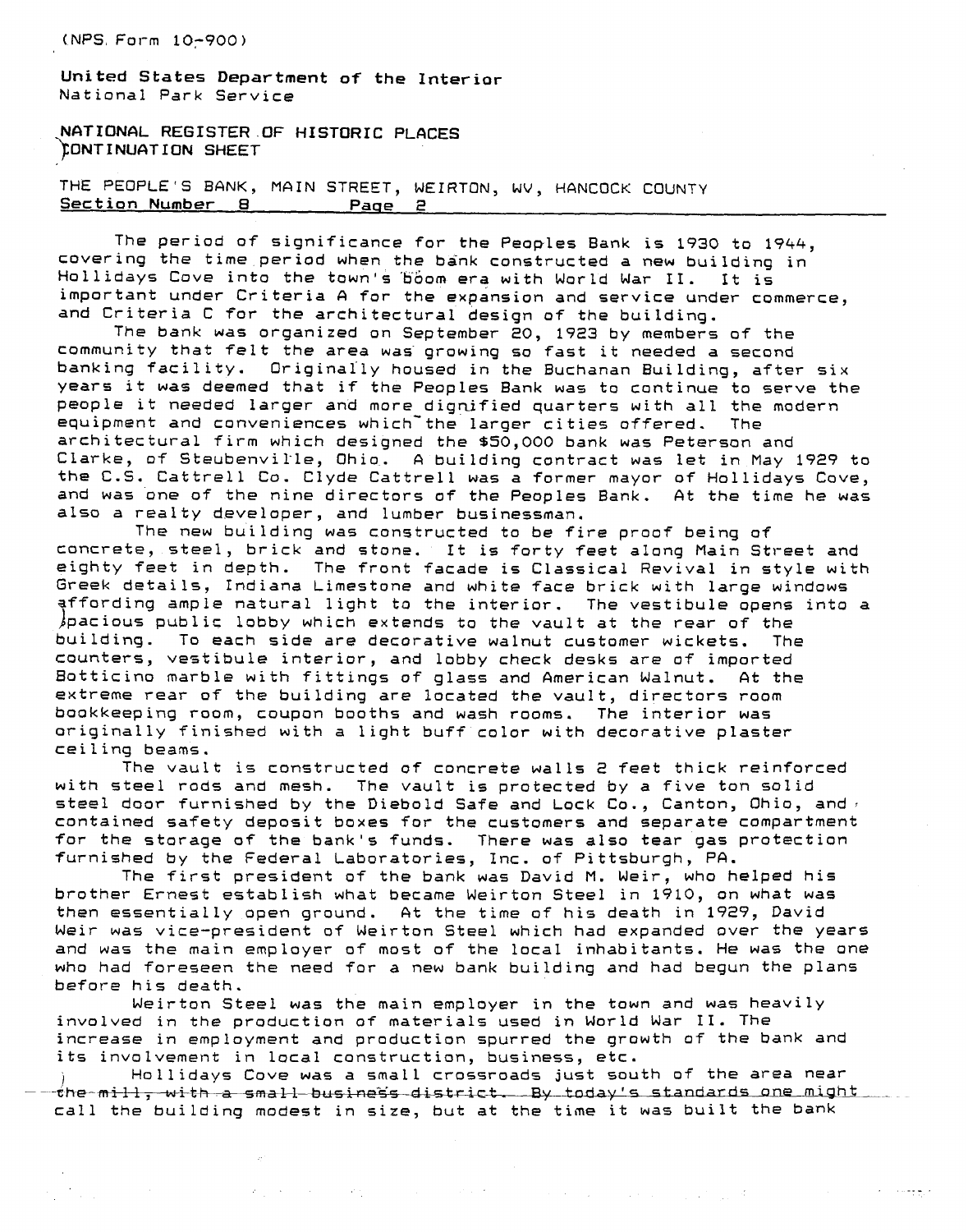**United States Department of the Interior**  National Park Service

**NATIONAL REGISTER.OF HISTORIC PLACES ~ONT I NUAT I ON SHEET** 

THE PEOPLE'S BANK, MaIN STREET, WEIRTON, WV, HANCOCK COUNTY Section Number 8 Page 2

The period of significance for the Peoples Bank is 1930 to 1944, covering the time period when the bank constructed a new building in Hollidays Cove into the town's 'boom era with World War 11. It is important under Criteria **A** for the expansion and service under commerce, and Criteria C for the architectural design of the building.

The bank was organized on September 20, 1923 by members of the community that felt the area was growing so fast it needed a second banking facility. Originally housed in the Buchanan Building, after six years it was deemed that if the Peoples Bank was to continue to **serve** the people it needed larger and more dignified quarters with all the modern equipment and conveniences which the larger cities offered. The architectural firm which designed the \$50,000 bank was Peterson **and**  Clarke, of Steubenvil'le, Ohio. **A** building contract was; let in May 1929 to the C.S. Cattrell Co. Clyde Cattrell was a former mayor of Hollidays Cove, and was one of the nine directors of the Peoples Bank. At the time he was also a realty developer, and lumber businessman.

The new building was constructed to be fire proof being of concrete, steel, brick and stone. It is forty feet along Main Street and eighty feet in depth. The front facade is Classical Revival in style with Greek details, Indiana Limestone and white face brick with large windows affording ample natural light to the interior. The vestibule opens into a jpacious public lobby which extends to the vault at the rear of the building. To each side are decorative walnut customer wickets. The counters, vestibule interior, and lobby check desks are of imported Botticino marble with fittings of glass and 4merican Walnut. At the extreme rear of the building are located the vault, directors room bookkeeping room, coupon booths and wash rooms. The interior was originally finished with a light buff color with decorative plaster ceiling beams.

The vault is constructed of concrete walls 2 feet thick reinforced with steel rods and mesh. The vault is protected by a five ton solid steel door furnished by the Diebold Safe and Lock Co., Canton, Ohio, and  $\epsilon$ contained safety deposit boxes for the customers and separate compartment for the storage of the bank's funds. There was also tear gas protection furnished by the Federal Laboratories, Inc. of Pittsburgh, PA.

The first president of the bank was David M. Weir, who helped his brother Ernest establish what became Weirton Steel in 1910, on what was then essentially open ground. At the time of his death in 1929, David Weir **was** vice-president of Weirton Steel which had expanded over the years and was the main employer of most of the local inhabitants. He was the one who had foreseen the need for a **new** bank building and had begun the plans before his death.

Weirton Steel **was** the main employer in the town and was heavily involved in the production of materials used in World War 11. The increase in employment and production spurred the growth of the bank and its involvement in local construction, business, etc.<br>
Hollidays Cove was a small crossroads just south of the area near

<sup>I</sup>Hollidays Cove was a small crossroads just south of the area near . -. **-tbe-mi:** 1, **;aitp-msl!** - **-y 'c ~tnnrlarrl-** on- mightcall the building modest in size, but at the time it was built the bank

where the contribution of the contribution of the contribution of the contribution of the contribution of the  $\mathcal{A}$ 

 $\mathcal{A}^{\text{max}}$  . The mass  $\mathcal{A}^{\text{max}}$ 

 $\mathcal{A}_{\mathcal{M}}$  . So the set of the state of the state of the state of the state of the state of the state of the state of the state of the state of the state of the state of the state of the state of the state of the stat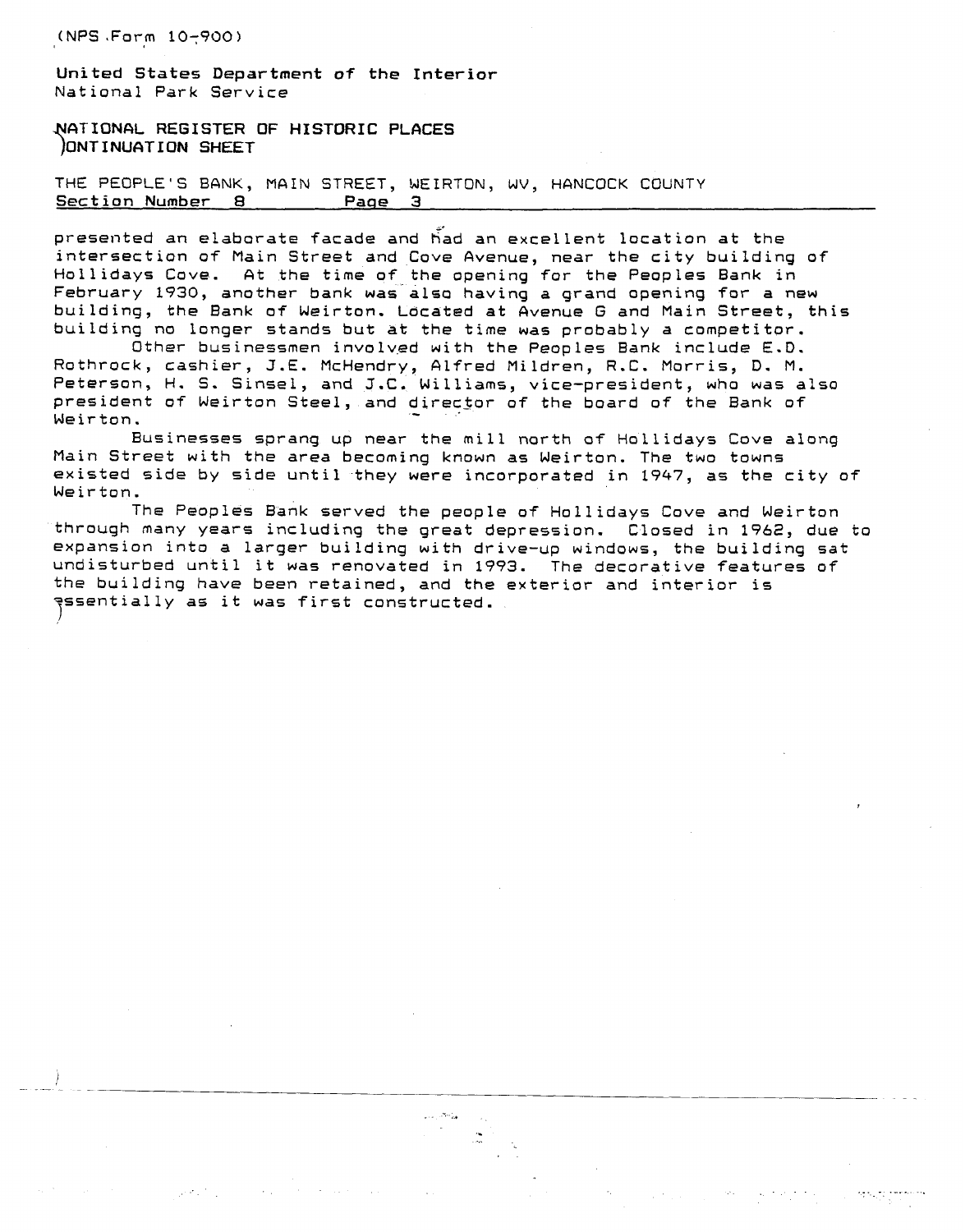T

United States Department of the Interior National Park Service

**ATION6L** REGISTER **DF** HISTORIC PLACES **CONTINUATION SHEET** 

THE PEOPLE'S BANK, MAIN STREET, WEIRTON, WV, HANCOCK COUNTY<br>Section Number 8 Page 3 Section Number 8

presented an elaborate facade and **6Hd** an excellent location at the intersection of Main Street and Cove Avenue, near the city building of Hollidays Cove. At the time of the opening for the Peoples Bank in February 1930, another bank **was** also having a grand opening for a new building, the Bank of Weirton. Located at Avenue G and Main Street, this building no longer stands but at the time was probably a competitor.

Other businessmen involved with the Peoples Bank include E.D. Rothrock, cashier, J.E. McHendry, Alfred Mildren, R.C. Morris, D. M. Peterson, H. S. Sinsel, and J.C. Williams, vice-president, who was also president of Weirton Steel, and director of the board of the Bank of<br>Weirton.

Businesses sprang up near the mill north of Hollidays Cove along Main Street with the area becoming known as Weirton. The two towns existed side by side until they were incorporated in 1947, as the city of Weirton.

The Peoples Bank served the people of Hollidays Cove and Weirton through many years including the great depression. Closed in 1962, due to expansion into a larger building with drive-up windows, the building sat undisturbed until it was renovated in 1993. The decorative features of the building have been retained, and the exterior and interior is  $\mathop{\mathsf{essentially}}$  as it was first constructed.

وراسخا إدارا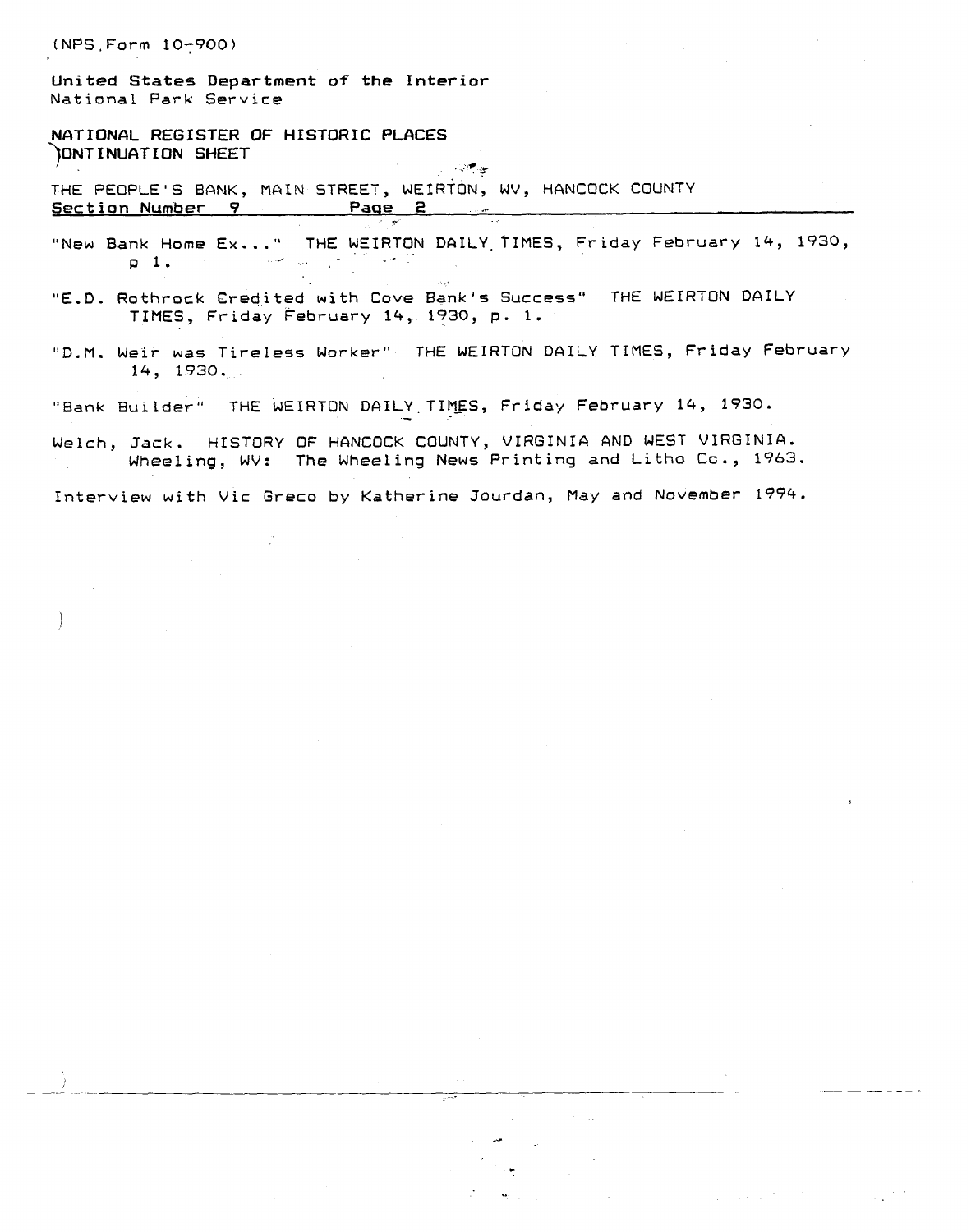**United States Department of** the Interior National **Park** Service

**NATIONAL REGISTER OF HISTORIC PLACES**  JONTINUATION SHEET

 $\mathcal{L}_{\text{max}} \approx 100$ THE PEOPLE'S BANK, MAIN STREET, WEIRTON, WV, HANCOCK COUNTY Section Number 9 **Paae 2 .-**  <u>. Page 2</u>

New Bank Home Ex..." THE WEIRTON DAILY TIMES, Friday February 14, 1930,<br>P <sup>1</sup>. **Contract Contract** 

"E.D. Rothrock Credited with Cove Bank's Success" THE WEIRTON DAILY TIMES, Friday February 14, 1930, **p.** 1.

**"D.M.** Weir was Tireless Worker" THE WEIRTON DAILY TIMES, Friday February 14, 1930.

"Bank Builder" THE WEIRTON DAILY TIMES, Friday February 14, 1930.

Welch, Jack. HISTORY OF HANCOCK COUNTY, VIRGINIA AND WEST VIRGINIA. Wheeling, WV: The Wheeling News Printing and Litho Co., 1963.

Interview with Vic Greco by Katherine Jourdan, May and November 1994.

 $\sim 10^{11}$  ,  $\sim 10^{11}$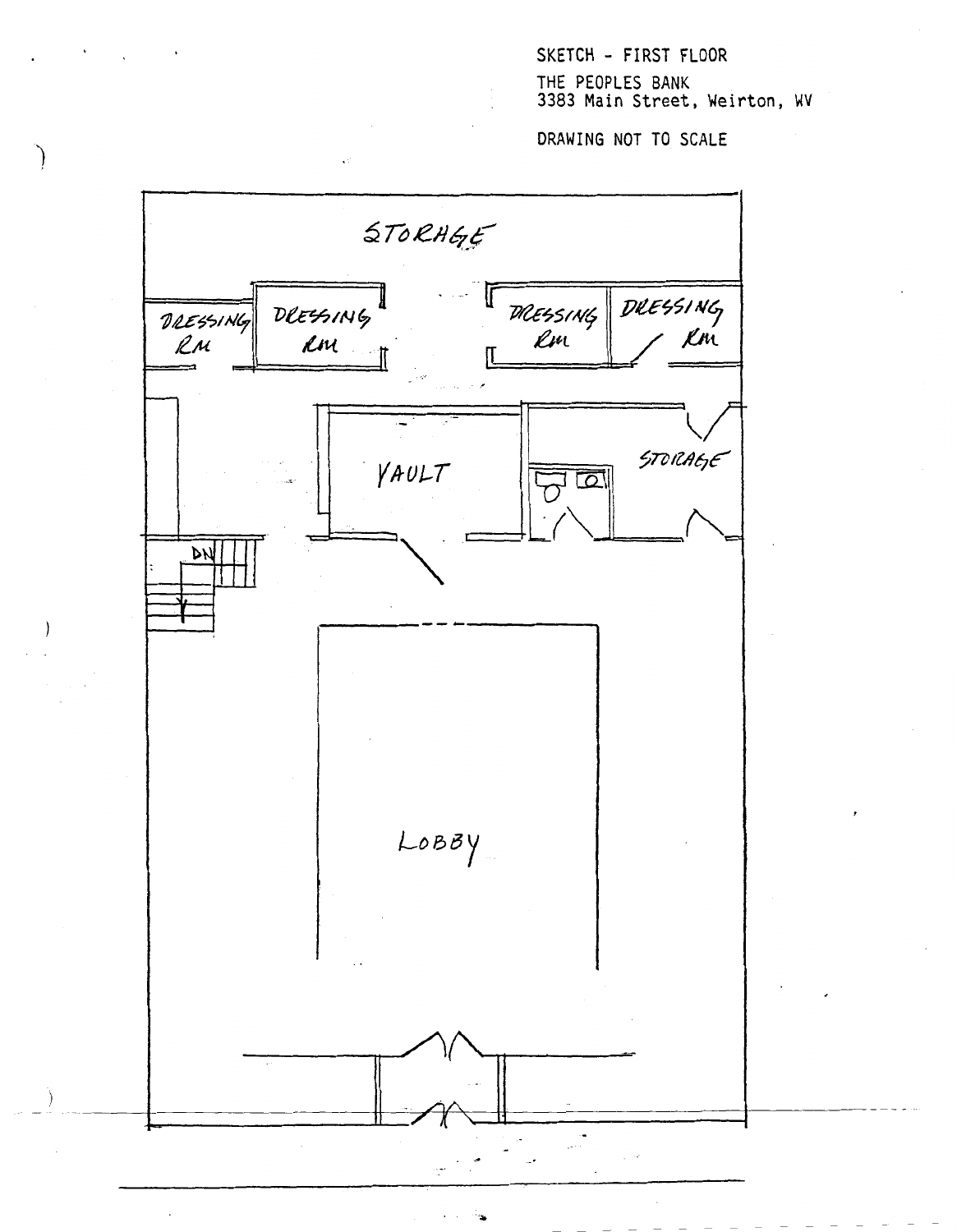## **SKETCH** - **FIRST FLOOR**

**THE PEOPLES BANK 3383 Main** Street, **Weirton, WV** 

**DRAWING** NOT TO **SCALE** 

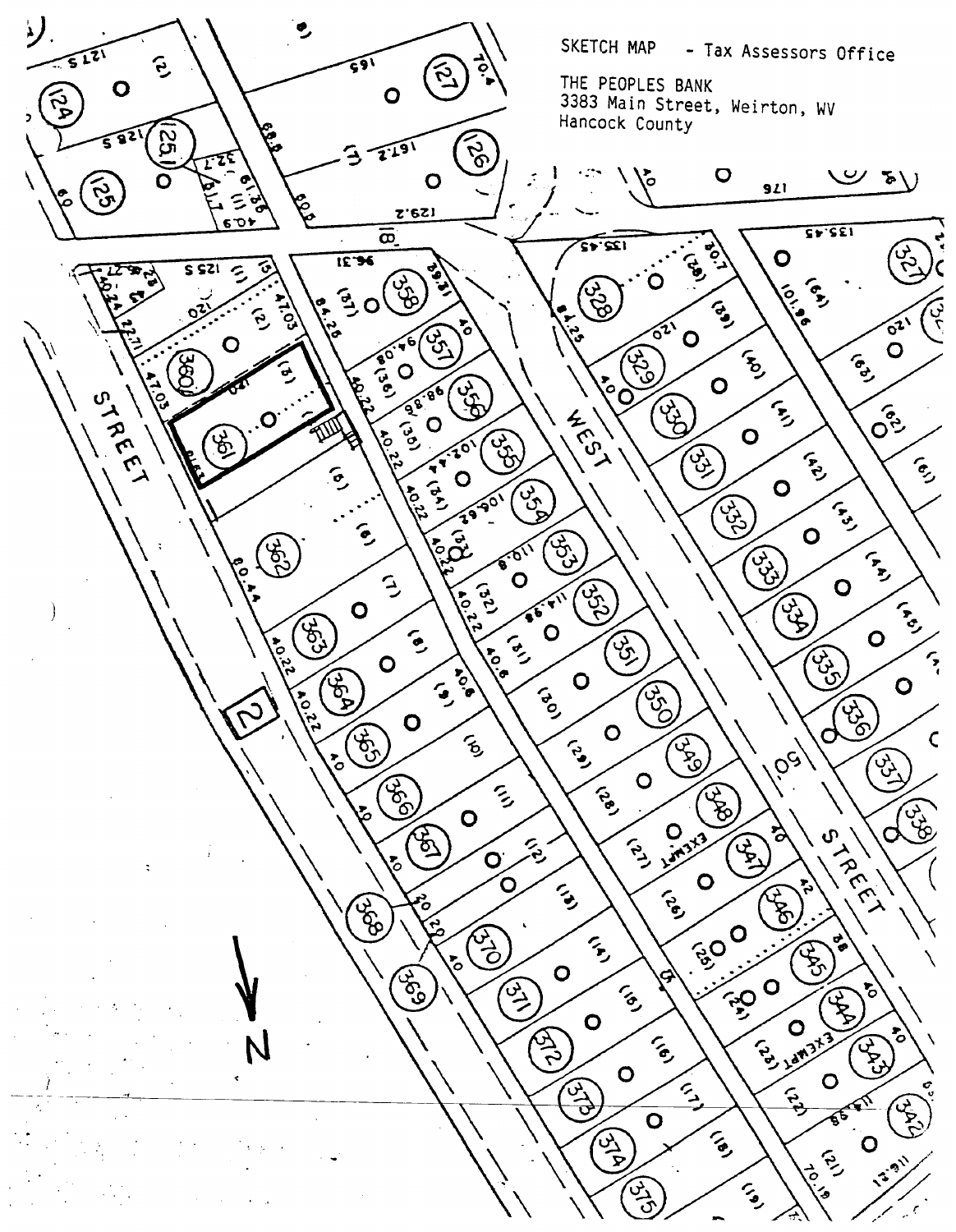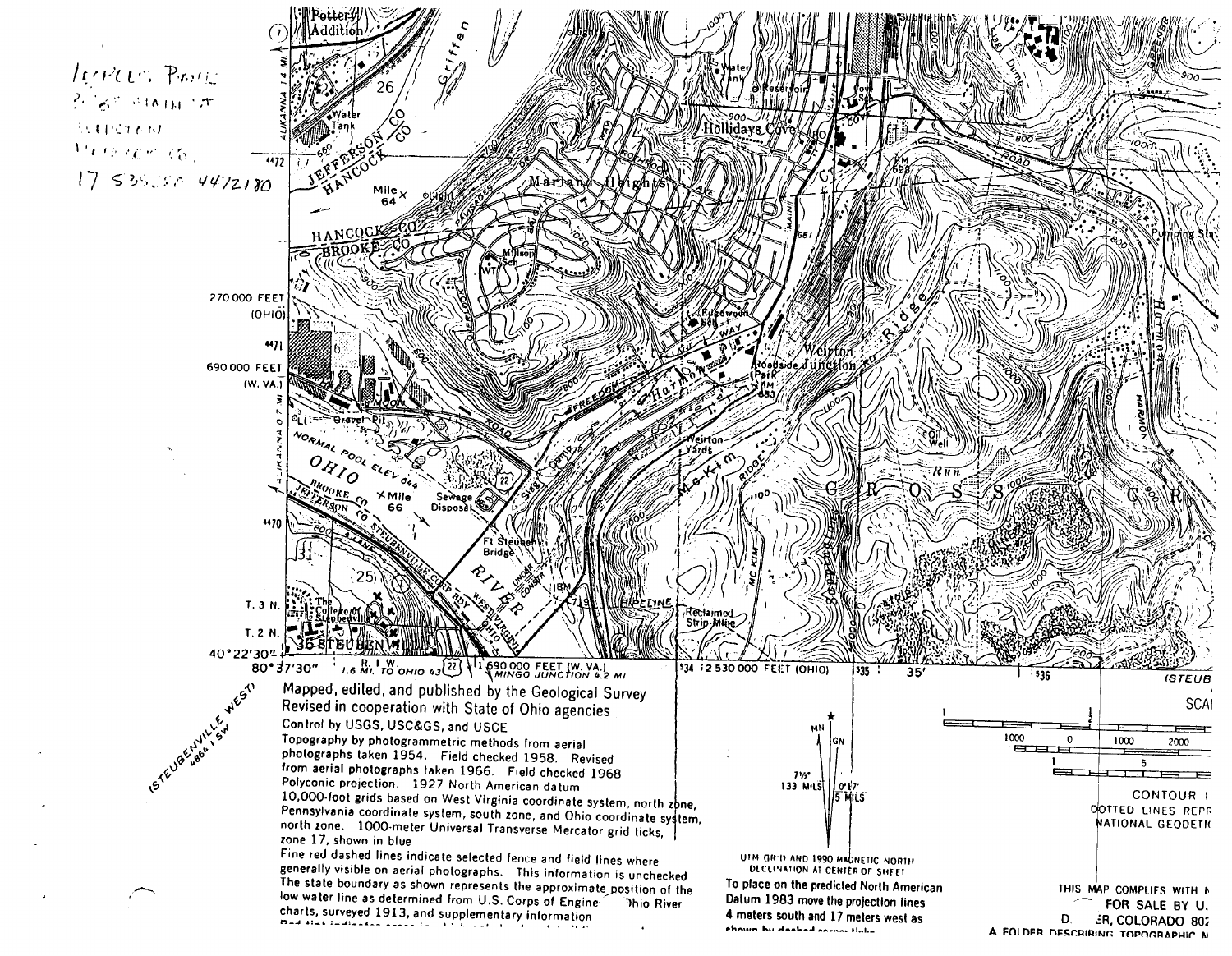